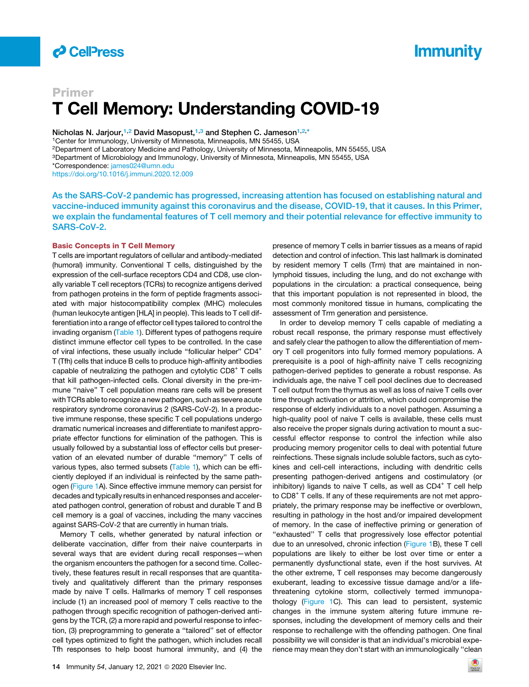

# **Immunity**

# Primer T Cell Memory: Understanding COVID-19

Nicholas N. Jarjour,<sup>[1,](#page-0-0)[2](#page-0-1)</sup> David Masopust,<sup>[1](#page-0-0)[,3](#page-0-2)</sup> and Stephen C. Jameson<sup>1[,2](#page-0-1),[\\*](#page-0-3)</sup>

<span id="page-0-0"></span>1Center for Immunology, University of Minnesota, Minneapolis, MN 55455, USA

<span id="page-0-1"></span>2Department of Laboratory Medicine and Pathology, University of Minnesota, Minneapolis, MN 55455, USA

<span id="page-0-2"></span>3Department of Microbiology and Immunology, University of Minnesota, Minneapolis, MN 55455, USA

<span id="page-0-3"></span>\*Correspondence: [james024@umn.edu](mailto:james024@umn.edu)

<https://doi.org/10.1016/j.immuni.2020.12.009>

As the SARS-CoV-2 pandemic has progressed, increasing attention has focused on establishing natural and vaccine-induced immunity against this coronavirus and the disease, COVID-19, that it causes. In this Primer, we explain the fundamental features of T cell memory and their potential relevance for effective immunity to SARS-CoV-2.

### Basic Concepts in T Cell Memory

T cells are important regulators of cellular and antibody-mediated (humoral) immunity. Conventional T cells, distinguished by the expression of the cell-surface receptors CD4 and CD8, use clonally variable T cell receptors (TCRs) to recognize antigens derived from pathogen proteins in the form of peptide fragments associated with major histocompatibility complex (MHC) molecules (human leukocyte antigen [HLA] in people). This leads to T cell differentiation into a range of effector cell types tailored to control the invading organism [\(Table 1](#page-1-0)). Different types of pathogens require distinct immune effector cell types to be controlled. In the case of viral infections, these usually include "follicular helper" CD4<sup>+</sup> T (Tfh) cells that induce B cells to produce high-affinity antibodies capable of neutralizing the pathogen and cytolytic  $CDB<sup>+</sup>$  T cells that kill pathogen-infected cells. Clonal diversity in the pre-immune "naive" T cell population means rare cells will be present with TCRs able to recognize a new pathogen, such as severe acute respiratory syndrome coronavirus 2 (SARS-CoV-2). In a productive immune response, these specific T cell populations undergo dramatic numerical increases and differentiate to manifest appropriate effector functions for elimination of the pathogen. This is usually followed by a substantial loss of effector cells but preservation of an elevated number of durable ''memory'' T cells of various types, also termed subsets [\(Table 1\)](#page-1-0), which can be efficiently deployed if an individual is reinfected by the same path-ogen ([Figure 1A](#page-2-0)). Since effective immune memory can persist for decades and typically results in enhanced responses and accelerated pathogen control, generation of robust and durable T and B cell memory is a goal of vaccines, including the many vaccines against SARS-CoV-2 that are currently in human trials.

Memory T cells, whether generated by natural infection or deliberate vaccination, differ from their naive counterparts in several ways that are evident during recall responses—when the organism encounters the pathogen for a second time. Collectively, these features result in recall responses that are quantitatively and qualitatively different than the primary responses made by naive T cells. Hallmarks of memory T cell responses include (1) an increased pool of memory T cells reactive to the pathogen through specific recognition of pathogen-derived antigens by the TCR, (2) a more rapid and powerful response to infection, (3) preprogramming to generate a ''tailored'' set of effector cell types optimized to fight the pathogen, which includes recall Tfh responses to help boost humoral immunity, and (4) the

presence of memory T cells in barrier tissues as a means of rapid detection and control of infection. This last hallmark is dominated by resident memory T cells (Trm) that are maintained in nonlymphoid tissues, including the lung, and do not exchange with populations in the circulation: a practical consequence, being that this important population is not represented in blood, the most commonly monitored tissue in humans, complicating the assessment of Trm generation and persistence.

In order to develop memory T cells capable of mediating a robust recall response, the primary response must effectively and safely clear the pathogen to allow the differentiation of memory T cell progenitors into fully formed memory populations. A prerequisite is a pool of high-affinity naive T cells recognizing pathogen-derived peptides to generate a robust response. As individuals age, the naive T cell pool declines due to decreased T cell output from the thymus as well as loss of naive T cells over time through activation or attrition, which could compromise the response of elderly individuals to a novel pathogen. Assuming a high-quality pool of naive T cells is available, these cells must also receive the proper signals during activation to mount a successful effector response to control the infection while also producing memory progenitor cells to deal with potential future reinfections. These signals include soluble factors, such as cytokines and cell-cell interactions, including with dendritic cells presenting pathogen-derived antigens and costimulatory (or inhibitory) ligands to naive  $T$  cells, as well as  $CD4^+$   $T$  cell help to CD8<sup>+</sup> T cells. If any of these requirements are not met appropriately, the primary response may be ineffective or overblown, resulting in pathology in the host and/or impaired development of memory. In the case of ineffective priming or generation of "exhausted" T cells that progressively lose effector potential due to an unresolved, chronic infection ([Figure 1B](#page-2-0)), these T cell populations are likely to either be lost over time or enter a permanently dysfunctional state, even if the host survives. At the other extreme, T cell responses may become dangerously exuberant, leading to excessive tissue damage and/or a lifethreatening cytokine storm, collectively termed immunopathology [\(Figure 1](#page-2-0)C). This can lead to persistent, systemic changes in the immune system altering future immune responses, including the development of memory cells and their response to rechallenge with the offending pathogen. One final possibility we will consider is that an individual's microbial experience may mean they don't start with an immunologically ''clean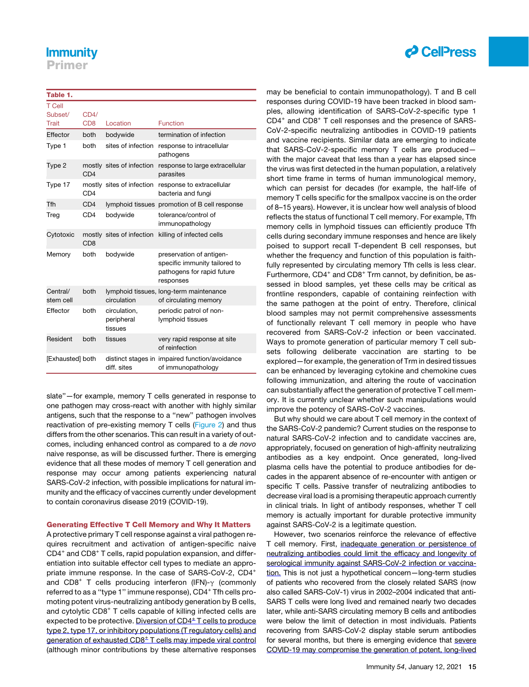## **Immunity**

Primer

## <span id="page-1-0"></span>Table 1.

| <b>T</b> Cell<br>Subset/<br>Trait | CD4/<br>CD <sub>8</sub> | Location                              | <b>Function</b>                                                                                      |
|-----------------------------------|-------------------------|---------------------------------------|------------------------------------------------------------------------------------------------------|
| Effector                          | both                    | bodywide                              | termination of infection                                                                             |
| Type 1                            | both                    | sites of infection                    | response to intracellular<br>pathogens                                                               |
| Type 2                            | CD4                     | mostly sites of infection             | response to large extracellular<br>parasites                                                         |
| Type 17                           | CD <sub>4</sub>         | mostly sites of infection             | response to extracellular<br>bacteria and fungi                                                      |
| Tfh                               | CD <sub>4</sub>         |                                       | lymphoid tissues promotion of B cell response                                                        |
| Treg                              | CD <sub>4</sub>         | bodywide                              | tolerance/control of<br>immunopathology                                                              |
| Cytotoxic                         | C <sub>D</sub> 8        | mostly sites of infection             | killing of infected cells                                                                            |
| Memory                            | both                    | bodywide                              | preservation of antigen-<br>specific immunity tailored to<br>pathogens for rapid future<br>responses |
| Central/<br>stem cell             | both                    | circulation                           | lymphoid tissues, long-term maintenance<br>of circulating memory                                     |
| Effector                          | both                    | circulation,<br>peripheral<br>tissues | periodic patrol of non-<br>lymphoid tissues                                                          |
| Resident                          | both                    | tissues                               | very rapid response at site<br>of reinfection                                                        |
| [Exhausted] both                  |                         | diff. sites                           | distinct stages in impaired function/avoidance<br>of immunopathology                                 |

slate''—for example, memory T cells generated in response to one pathogen may cross-react with another with highly similar antigens, such that the response to a ''new'' pathogen involves reactivation of pre-existing memory T cells [\(Figure 2](#page-3-0)) and thus differs from the other scenarios. This can result in a variety of outcomes, including enhanced control as compared to a *de novo* naive response, as will be discussed further. There is emerging evidence that all these modes of memory T cell generation and response may occur among patients experiencing natural SARS-CoV-2 infection, with possible implications for natural immunity and the efficacy of vaccines currently under development to contain coronavirus disease 2019 (COVID-19).

## Generating Effective T Cell Memory and Why It Matters

A protective primary T cell response against a viral pathogen requires recruitment and activation of antigen-specific naive CD4<sup>+</sup> and CD8<sup>+</sup> T cells, rapid population expansion, and differentiation into suitable effector cell types to mediate an appropriate immune response. In the case of SARS-CoV-2, CD4<sup>+</sup> and CD8<sup>+</sup> T cells producing interferon (IFN)- $\gamma$  (commonly referred to as a "type 1" immune response), CD4<sup>+</sup> Tfh cells promoting potent virus-neutralizing antibody generation by B cells, and cytolytic CD8<sup>+</sup> T cells capable of killing infected cells are expected to be protective. Diversion of  $CD4<sup>±</sup>$  T cells to produce type 2, type 17, or inhibitory populations (T regulatory cells) and generation of exhausted  $CDB<sup>±</sup> T$  cells may impede viral control (although minor contributions by these alternative responses



may be beneficial to contain immunopathology). T and B cell responses during COVID-19 have been tracked in blood samples, allowing identification of SARS-CoV-2-specific type 1 CD4<sup>+</sup> and CD8<sup>+</sup> T cell responses and the presence of SARS-CoV-2-specific neutralizing antibodies in COVID-19 patients and vaccine recipients. Similar data are emerging to indicate that SARS-CoV-2-specific memory T cells are produced with the major caveat that less than a year has elapsed since the virus was first detected in the human population, a relatively short time frame in terms of human immunological memory, which can persist for decades (for example, the half-life of memory T cells specific for the smallpox vaccine is on the order of 8–15 years). However, it is unclear how well analysis of blood reflects the status of functional T cell memory. For example, Tfh memory cells in lymphoid tissues can efficiently produce Tfh cells during secondary immune responses and hence are likely poised to support recall T-dependent B cell responses, but whether the frequency and function of this population is faithfully represented by circulating memory Tfh cells is less clear. Furthermore,  $CD4^+$  and  $CD8^+$  Trm cannot, by definition, be assessed in blood samples, yet these cells may be critical as frontline responders, capable of containing reinfection with the same pathogen at the point of entry. Therefore, clinical blood samples may not permit comprehensive assessments of functionally relevant T cell memory in people who have recovered from SARS-CoV-2 infection or been vaccinated. Ways to promote generation of particular memory T cell subsets following deliberate vaccination are starting to be explored—for example, the generation of Trm in desired tissues can be enhanced by leveraging cytokine and chemokine cues following immunization, and altering the route of vaccination can substantially affect the generation of protective T cell memory. It is currently unclear whether such manipulations would improve the potency of SARS-CoV-2 vaccines.

But why should we care about T cell memory in the context of the SARS-CoV-2 pandemic? Current studies on the response to natural SARS-CoV-2 infection and to candidate vaccines are, appropriately, focused on generation of high-affinity neutralizing antibodies as a key endpoint. Once generated, long-lived plasma cells have the potential to produce antibodies for decades in the apparent absence of re-encounter with antigen or specific T cells. Passive transfer of neutralizing antibodies to decrease viral load is a promising therapeutic approach currently in clinical trials. In light of antibody responses, whether T cell memory is actually important for durable protective immunity against SARS-CoV-2 is a legitimate question.

However, two scenarios reinforce the relevance of effective T cell memory. First, inadequate generation or persistence of neutralizing antibodies could limit the efficacy and longevity of serological immunity against SARS-CoV-2 infection or vaccination. This is not just a hypothetical concern—long-term studies of patients who recovered from the closely related SARS (now also called SARS-CoV-1) virus in 2002–2004 indicated that anti-SARS T cells were long lived and remained nearly two decades later, while anti-SARS circulating memory B cells and antibodies were below the limit of detection in most individuals. Patients recovering from SARS-CoV-2 display stable serum antibodies for several months, but there is emerging evidence that severe COVID-19 may compromise the generation of potent, long-lived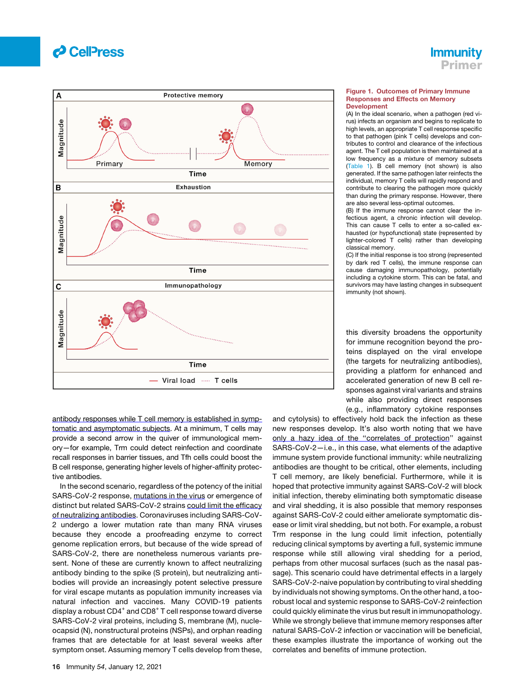



<span id="page-2-0"></span>

antibody responses while T cell memory is established in symptomatic and asymptomatic subjects. At a minimum, T cells may provide a second arrow in the quiver of immunological memory—for example, Trm could detect reinfection and coordinate recall responses in barrier tissues, and Tfh cells could boost the B cell response, generating higher levels of higher-affinity protective antibodies.

In the second scenario, regardless of the potency of the initial SARS-CoV-2 response, mutations in the virus or emergence of distinct but related SARS-CoV-2 strains could limit the efficacy of neutralizing antibodies. Coronaviruses including SARS-CoV-2 undergo a lower mutation rate than many RNA viruses because they encode a proofreading enzyme to correct genome replication errors, but because of the wide spread of SARS-CoV-2, there are nonetheless numerous variants present. None of these are currently known to affect neutralizing antibody binding to the spike (S protein), but neutralizing antibodies will provide an increasingly potent selective pressure for viral escape mutants as population immunity increases via natural infection and vaccines. Many COVID-19 patients display a robust  $CD4^+$  and  $CD8^+$  T cell response toward diverse SARS-CoV-2 viral proteins, including S, membrane (M), nucleocapsid (N), nonstructural proteins (NSPs), and orphan reading frames that are detectable for at least several weeks after symptom onset. Assuming memory T cells develop from these,

#### Figure 1. Outcomes of Primary Immune Responses and Effects on Memory **Development**

(A) In the ideal scenario, when a pathogen (red virus) infects an organism and begins to replicate to high levels, an appropriate T cell response specific to that pathogen (pink T cells) develops and contributes to control and clearance of the infectious agent. The T cell population is then maintained at a low frequency as a mixture of memory subsets ([Table 1](#page-1-0)). B cell memory (not shown) is also generated. If the same pathogen later reinfects the individual, memory T cells will rapidly respond and contribute to clearing the pathogen more quickly than during the primary response. However, there are also several less-optimal outcomes.

(B) If the immune response cannot clear the infectious agent, a chronic infection will develop. This can cause T cells to enter a so-called exhausted (or hypofunctional) state (represented by lighter-colored T cells) rather than developing classical memory.

(C) If the initial response is too strong (represented by dark red T cells), the immune response can cause damaging immunopathology, potentially including a cytokine storm. This can be fatal, and survivors may have lasting changes in subsequent immunity (not shown).

this diversity broadens the opportunity for immune recognition beyond the proteins displayed on the viral envelope (the targets for neutralizing antibodies), providing a platform for enhanced and accelerated generation of new B cell responses against viral variants and strains while also providing direct responses (e.g., inflammatory cytokine responses

and cytolysis) to effectively hold back the infection as these new responses develop. It's also worth noting that we have only a hazy idea of the ''correlates of protection'' against SARS-CoV-2—i.e., in this case, what elements of the adaptive immune system provide functional immunity: while neutralizing antibodies are thought to be critical, other elements, including T cell memory, are likely beneficial. Furthermore, while it is hoped that protective immunity against SARS-CoV-2 will block initial infection, thereby eliminating both symptomatic disease and viral shedding, it is also possible that memory responses against SARS-CoV-2 could either ameliorate symptomatic disease or limit viral shedding, but not both. For example, a robust Trm response in the lung could limit infection, potentially reducing clinical symptoms by averting a full, systemic immune response while still allowing viral shedding for a period, perhaps from other mucosal surfaces (such as the nasal passage). This scenario could have detrimental effects in a largely SARS-CoV-2-naive population by contributing to viral shedding by individuals not showing symptoms. On the other hand, a toorobust local and systemic response to SARS-CoV-2 reinfection could quickly eliminate the virus but result in immunopathology. While we strongly believe that immune memory responses after natural SARS-CoV-2 infection or vaccination will be beneficial, these examples illustrate the importance of working out the correlates and benefits of immune protection.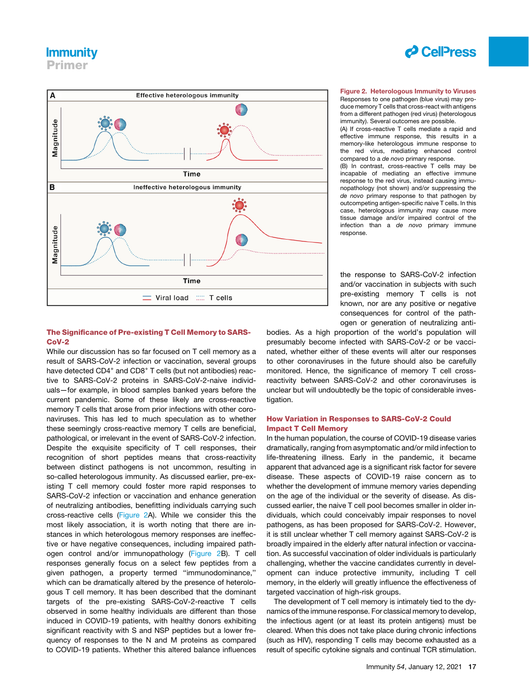## **Immunity**

<span id="page-3-0"></span>Primer



## The Significance of Pre-existing T Cell Memory to SARS-CoV-2

While our discussion has so far focused on T cell memory as a result of SARS-CoV-2 infection or vaccination, several groups have detected CD4<sup>+</sup> and CD8<sup>+</sup> T cells (but not antibodies) reactive to SARS-CoV-2 proteins in SARS-CoV-2-naive individuals—for example, in blood samples banked years before the current pandemic. Some of these likely are cross-reactive memory T cells that arose from prior infections with other coronaviruses. This has led to much speculation as to whether these seemingly cross-reactive memory T cells are beneficial, pathological, or irrelevant in the event of SARS-CoV-2 infection. Despite the exquisite specificity of T cell responses, their recognition of short peptides means that cross-reactivity between distinct pathogens is not uncommon, resulting in so-called heterologous immunity. As discussed earlier, pre-existing T cell memory could foster more rapid responses to SARS-CoV-2 infection or vaccination and enhance generation of neutralizing antibodies, benefitting individuals carrying such cross-reactive cells ([Figure 2A](#page-3-0)). While we consider this the most likely association, it is worth noting that there are instances in which heterologous memory responses are ineffective or have negative consequences, including impaired pathogen control and/or immunopathology ([Figure 2B](#page-3-0)). T cell responses generally focus on a select few peptides from a given pathogen, a property termed ''immunodominance,'' which can be dramatically altered by the presence of heterologous T cell memory. It has been described that the dominant targets of the pre-existing SARS-CoV-2-reactive T cells observed in some healthy individuals are different than those induced in COVID-19 patients, with healthy donors exhibiting significant reactivity with S and NSP peptides but a lower frequency of responses to the N and M proteins as compared to COVID-19 patients. Whether this altered balance influences



### Figure 2. Heterologous Immunity to Viruses Responses to one pathogen (blue virus) may produce memory T cells that cross-react with antigens from a different pathogen (red virus) (heterologous immunity). Several outcomes are possible.

(A) If cross-reactive T cells mediate a rapid and effective immune response, this results in a memory-like heterologous immune response to the red virus, mediating enhanced control compared to a *de novo* primary response.

(B) In contrast, cross-reactive T cells may be incapable of mediating an effective immune response to the red virus, instead causing immunopathology (not shown) and/or suppressing the *de novo* primary response to that pathogen by outcompeting antigen-specific naive T cells. In this case, heterologous immunity may cause more tissue damage and/or impaired control of the infection than a *de novo* primary immune response.

the response to SARS-CoV-2 infection and/or vaccination in subjects with such pre-existing memory T cells is not known, nor are any positive or negative consequences for control of the pathogen or generation of neutralizing anti-

bodies. As a high proportion of the world's population will presumably become infected with SARS-CoV-2 or be vaccinated, whether either of these events will alter our responses to other coronaviruses in the future should also be carefully monitored. Hence, the significance of memory T cell crossreactivity between SARS-CoV-2 and other coronaviruses is unclear but will undoubtedly be the topic of considerable investigation.

## How Variation in Responses to SARS-CoV-2 Could Impact T Cell Memory

In the human population, the course of COVID-19 disease varies dramatically, ranging from asymptomatic and/or mild infection to life-threatening illness. Early in the pandemic, it became apparent that advanced age is a significant risk factor for severe disease. These aspects of COVID-19 raise concern as to whether the development of immune memory varies depending on the age of the individual or the severity of disease. As discussed earlier, the naive T cell pool becomes smaller in older individuals, which could conceivably impair responses to novel pathogens, as has been proposed for SARS-CoV-2. However, it is still unclear whether T cell memory against SARS-CoV-2 is broadly impaired in the elderly after natural infection or vaccination. As successful vaccination of older individuals is particularly challenging, whether the vaccine candidates currently in development can induce protective immunity, including T cell memory, in the elderly will greatly influence the effectiveness of targeted vaccination of high-risk groups.

The development of T cell memory is intimately tied to the dynamics of the immune response. For classical memory to develop, the infectious agent (or at least its protein antigens) must be cleared. When this does not take place during chronic infections (such as HIV), responding T cells may become exhausted as a result of specific cytokine signals and continual TCR stimulation.